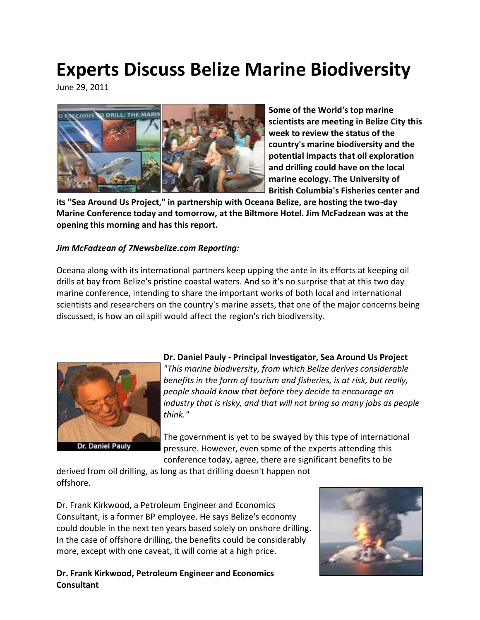# **Experts Discuss Belize Marine Biodiversity**

June 29, 2011



**Some of the World's top marine scientists are meeting in Belize City this week to review the status of the country's marine biodiversity and the potential impacts that oil exploration and drilling could have on the local marine ecology. The University of British Columbia's Fisheries center and** 

**its "Sea Around Us Project," in partnership with Oceana Belize, are hosting the two-day Marine Conference today and tomorrow, at the Biltmore Hotel. Jim McFadzean was at the opening this morning and has this report.**

#### *Jim McFadzean of 7Newsbelize.com Reporting:*

Oceana along with its international partners keep upping the ante in its efforts at keeping oil drills at bay from Belize's pristine coastal waters. And so it's no surprise that at this two day marine conference, intending to share the important works of both local and international scientists and researchers on the country's marine assets, that one of the major concerns being discussed, is how an oil spill would affect the region's rich biodiversity.



**Dr. Daniel Pauly - Principal Investigator, Sea Around Us Project** *"This marine biodiversity, from which Belize derives considerable benefits in the form of tourism and fisheries, is at risk, but really, people should know that before they decide to encourage an industry that is risky, and that will not bring so many jobs as people think."*

The government is yet to be swayed by this type of international pressure. However, even some of the experts attending this conference today, agree, there are significant benefits to be

derived from oil drilling, as long as that drilling doesn't happen not offshore.

Dr. Frank Kirkwood, a Petroleum Engineer and Economics Consultant, is a former BP employee. He says Belize's economy could double in the next ten years based solely on onshore drilling. In the case of offshore drilling, the benefits could be considerably more, except with one caveat, it will come at a high price.

#### **Dr. Frank Kirkwood, Petroleum Engineer and Economics Consultant**